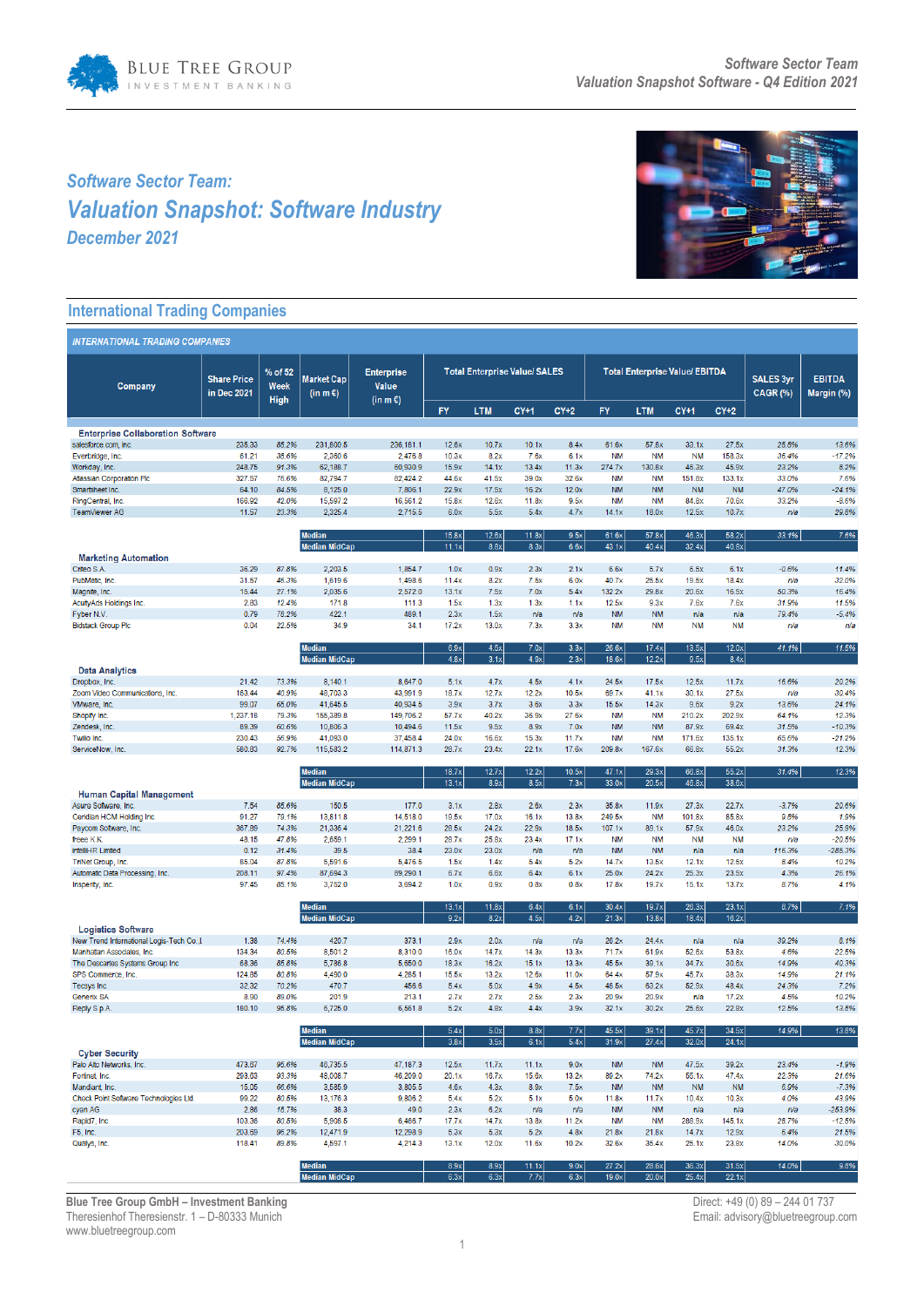

# *Software Sector Team: Valuation Snapshot: Software Industry December 2021*



# **International Trading Companies**

| % of 52<br><b>Total Enterprise Value/ SALES</b><br><b>Total Enterprise Value/ EBITDA</b><br><b>Enterprise</b><br><b>SALES 3yr</b><br><b>Share Price</b><br><b>Market Cap</b><br><b>EBITDA</b><br>Week<br><b>Value</b><br>Company<br><b>CAGR (%)</b><br>in Dec 2021<br>(in m $\epsilon$ )<br>Margin (%)<br>High<br>$(in m \in)$<br>FY<br><b>LTM</b><br>$CY+1$<br>$CY+2$<br><b>FY</b><br><b>LTM</b><br>$CY+1$<br>$CY+2$<br><b>Enterprise Collaboration Software</b><br>salesforce.com, inc.<br>235.33<br>85.2%<br>231,800.5<br>236,181.1<br>12.6x<br>10.7x<br>10.1x<br>8.4x<br>61.6x<br>57.8x<br>33.1x<br>27.5x<br>25.8%<br>13.6%<br>Everbridge, Inc.<br>61.21<br>38.6%<br>2,360.6<br>2,476.8<br>10.3x<br>8.2x<br>7.6x<br>6.1x<br><b>NM</b><br><b>NM</b><br><b>NM</b><br>158.3x<br>36.4%<br>$-17.2%$<br>248.75<br>91.3%<br>62,188.7<br>60,930.9<br>15.9x<br>14.1x<br>13.4x<br>11.3x<br>274.7x<br>130.8x<br>46.3x<br>45.9x<br>23.2%<br>8.2%<br>Workday, Inc.<br><b>Atlassian Corporation Plc</b><br>327.57<br>76.6%<br>82,794.7<br>82,424.2<br>44.6x<br>41.5x<br>39.0x<br>32.6x<br><b>NM</b><br><b>NM</b><br>151.8x<br>133.1x<br>33.0%<br>7.6%<br><b>NM</b><br>64.10<br>84.5%<br>8,125.0<br>7,806.1<br>22.9x<br>17.5x<br>16.2x<br>12.0x<br><b>NM</b><br><b>NM</b><br><b>NM</b><br>47.0%<br>$-24.1%$<br>Smartsheet Inc.<br>166.92<br>42.0%<br>15,597.2<br>12.6x<br>9.5x<br><b>NM</b><br><b>NM</b><br>84.8x<br>70.6x<br>33.2%<br>$-8.6%$<br>RingCentral, Inc.<br>16,561.2<br>15.8x<br>11.8x<br>11.57<br>23.3%<br>2,325.4<br>2,715.5<br>6.0x<br>5.5x<br>5.4x<br>4.7x<br>18.0x<br>12.5x<br>29.8%<br>TeamViewer AG<br>14.1x<br>10.7x<br>n/a<br>7.6%<br><b>Median</b><br>15.8x<br>12.6x<br>11.8x<br>9.5x<br>61.6x<br>57.8x<br>46.3x<br>58.2x<br>33.1%<br>8.3x<br><b>Median MidCap</b><br>11.1x<br>8.8x<br>6.6x<br>43.1x<br>40.4x<br>32.4x<br>40.8x<br><b>Marketing Automation</b><br>2,203.5<br>1,854.7<br>$-0.6%$<br>11.4%<br>Criteo S.A.<br>36.29<br>87.8%<br>1.0x<br>0.9x<br>2.3x<br>2.1x<br>6.6x<br>5.7x<br>6.5x<br>6.1x<br>PubMatic, Inc.<br>31.57<br>46.3%<br>1,619.6<br>1,498.6<br>11.4x<br>8.2x<br>7.5x<br>6.0x<br>40.7x<br>25.5x<br>19.5x<br>n/a<br>32.0%<br>18.4x<br>2,572.0<br>27.1%<br>2,035.6<br>13.1x<br>7.5x<br>7.0x<br>5.4x<br>132.2x<br>29.8x<br>20.6x<br>16.5x<br>50.3%<br>16.4%<br>Magnite, Inc.<br>15.44<br>2.83<br>12.4%<br>171.8<br>111.3<br>1.3x<br>1.3x<br>12.5x<br>7.6x<br>31.9%<br>11.5%<br>AcuityAds Holdings Inc.<br>1.5x<br>1.1x<br>9.3x<br>7.6x<br>489.1<br>Fyber N.V.<br>0.79<br>78.2%<br>422.1<br>2.3x<br>1.5x<br>n/a<br>n/a<br><b>NM</b><br><b>NM</b><br>n/a<br>n/a<br>79.4%<br>$-5.4%$<br><b>Bidstack Group Plc</b><br>0.04<br>22.5%<br>34.9<br>34.1<br>17.2x<br>13.0x<br>7.3x<br>3.3x<br><b>NM</b><br><b>NM</b><br><b>NM</b><br><b>NM</b><br>n/a<br>n/a<br><b>Median</b><br>4.5x<br>13.5x<br>12.0x<br>11.5%<br>6.9x<br>7.0x<br>3.3x<br>26.6x<br>17.4x<br>41.1%<br><b>Median MidCap</b><br>4.8x<br>3.1x<br>4.9x<br>2.3x<br>18.6x<br>12.2x<br>9.5x<br>8.4x<br><b>Data Analytics</b><br>4.5x<br>20.2%<br>Dropbox, Inc.<br>21.42<br>73.3%<br>8,140.1<br>8,647.0<br>5.1x<br>4.7x<br>4.1x<br>24.5x<br>17.5x<br>12.5x<br>11.7x<br>16.6%<br>163.44<br>40.9%<br>48,703.3<br>43,991.9<br>12.7x<br>12.2x<br>10.5x<br>30.1x<br>27.5x<br>30.4%<br>Zoom Video Communications, Inc.<br>18.7x<br>69.7x<br>41.1x<br>n/a<br>VMware, Inc.<br>99.07<br>65.0%<br>41,645.5<br>40,934.5<br>3.9x<br>3.7x<br>3.6x<br>3.3x<br>15.5x<br>14.3x<br>9.6x<br>9.2x<br>13.6%<br>24.1%<br>1,237.18<br>79.3%<br>149,706.2<br>40.2x<br>36.9x<br>27.6x<br><b>NM</b><br><b>NM</b><br>64.1%<br>Shopify Inc.<br>155,389.8<br>57.7x<br>210.2x<br>202.9x<br>12.3%<br>89.39<br>10,494.6<br>9.5x<br>8.9x<br><b>NM</b><br><b>NM</b><br>69.4x<br>31.5%<br>$-10.3%$<br>Zendesk, Inc.<br>60.6%<br>10,806.3<br>11.5x<br>7.0x<br>87.9x<br>230.43<br>37,458.4<br>24.0x<br><b>NM</b><br><b>NM</b><br>$-21.2%$<br>Twilio Inc.<br>56.9%<br>41,093.0<br>16.6x<br>15.3x<br>11.7x<br>171.6x<br>135.1x<br>65.6%<br>ServiceNow, Inc.<br>580.83<br>92.7%<br>115,583.2<br>114,871.3<br>28.7x<br>23.4x<br>22.1x<br>17.6x<br>209.8x<br>167.6x<br>66.8x<br>55.2x<br>31.3%<br>12.3%<br>12.3%<br><b>Median</b><br>18.7x<br>12.7x<br>12.2x<br>10.5x<br>47.1x<br>29.3x<br>66.8x<br>55.2x<br>31.4%<br>13.1x<br>8.5x<br>7.3x<br>33.0x<br>20.5x<br>46.8x<br>38.6x<br><b>Median MidCap</b><br>8.9x<br><b>Human Capital Management</b><br>150.5<br>177.0<br>2.8x<br>2.6x<br>2.3x<br>22.7x<br>$-3.7%$<br>20.6%<br>Asure Software, Inc.<br>7.54<br>85.6%<br>3.1x<br>35.8x<br>11.9x<br>27.3x<br>Ceridian HCM Holding Inc.<br>91.27<br>79.1%<br>13,811.8<br>14,518.0<br>19.5x<br>17.0x<br>16.1x<br>13.8x<br>249.5x<br><b>NM</b><br>101.8x<br>85.8x<br>9.8%<br>1.9%<br>21,336.4<br>21,221.6<br>24.2x<br>22.9x<br>46.0x<br>23.2%<br>25.9%<br>Paycom Software, Inc.<br>367.89<br>74.3%<br>28.5x<br>18.5x<br>107.1x<br>89.1x<br>57.9x<br>freee K.K.<br>48.15<br>47.8%<br>2,659.1<br>2,299.1<br>28.7x<br>25.8x<br>23.4x<br>17.1x<br><b>NM</b><br><b>NM</b><br><b>NM</b><br><b>NM</b><br>$-20.5%$<br>n/a<br>intelliHR Limited<br>38.4<br>23.0x<br>23.0x<br><b>NM</b><br><b>NM</b><br>116.3%<br>-285.3%<br>0.12<br>31.4%<br>39.5<br>n/a<br>n/a<br>n/a<br>n/a<br>TriNet Group, Inc.<br>85.04<br>87.8%<br>5,591.6<br>5,476.5<br>1.5x<br>1.4x<br>5.4x<br>5.2x<br>14.7x<br>13.5x<br>12.1x<br>12.5x<br>8.4%<br>10.2%<br>208.11<br>24.2x<br>25.3x<br>Automatic Data Processing, Inc.<br>97.4%<br>87,694.3<br>89,290.1<br>6.7x<br>6.6x<br>6.4x<br>6.1x<br>25.0x<br>23.5x<br>4.3%<br>26.1%<br>97.45<br>85.1%<br>3,752.0<br>3,694.2<br>1.0x<br>0.9x<br>0.8x<br>0.8x<br>17.8x<br>19.7x<br>15.1x<br>13.7x<br>8.7%<br>4.1%<br>Insperity, Inc.<br><b>Median</b><br>13.1x<br>11.8x<br>6.4x<br>6.1x<br>30.4x<br>19.7x<br>26.3x<br>23.1x<br>8.7%<br>7.1%<br>9.2x<br>8.2x<br>4.5x<br>4.2x<br>13.8x<br>18.4x<br>16.2x<br>21.3x<br><b>Median MidCap</b><br><b>Logistics Software</b><br>420.7<br>39.2%<br>New Trend International Logis-Tech Co.,L<br>1.38<br>74.4%<br>373.1<br>2.9x<br>2.0x<br>n/a<br>26.2x<br>24.4x<br>8.1%<br>n/a<br>n/a<br>n/a<br>Manhattan Associates, Inc.<br>134.34<br>80.5%<br>8,501.2<br>8,310.0<br>16.0x<br>14.7x<br>14.3x<br>13.3x<br>71.7x<br>61.9x<br>52.6x<br>53.8x<br>4.6%<br>22.5%<br>The Descartes Systems Group Inc<br>68.36<br>85.8%<br>5,786.8<br>5,650.0<br>18.3x<br>16.2x<br>15.1x<br>13.3x<br>45.5x<br>39.1x<br>34.7x<br>30.6x<br>14.9%<br>40.3%<br>124.85<br>80.8%<br>4,490.0<br>4,285.1<br>15.5x<br>13.2x<br>12.6x<br>11.0x<br>57.9x<br>14.9%<br>21.1%<br>SPS Commerce, Inc.<br>64.4x<br>45.7x<br>38.3x<br>4.9x<br>Tecsys Inc.<br>32.32<br>70.2%<br>470.7<br>456.6<br>5.4x<br>5.0x<br>4.5x<br>48.5x<br>63.2x<br>52.9x<br>48.4x<br>24.3%<br>7.2%<br>8.90<br>201.9<br>213.1<br>2.7x<br>2.7x<br>2.5x<br>2.3x<br>20.9x<br>20.9x<br>17.2x<br>4.5%<br>10.2%<br>Generix SA<br>89.0%<br>n/a<br>4.8x<br>13.8%<br>180.10<br>95.8%<br>6,725.0<br>6,561.8<br>5.2x<br>4.4x<br>3.9x<br>32.1x<br>30.2x<br>25.6x<br>22.8x<br>12.5%<br>Reply S.p.A.<br>14.9%<br><b>Median</b><br>5.4x<br>5.0x<br>8.8x<br>7.7x<br>45.5x<br>39.1x<br>45.7x<br>34.5x<br>13.8%<br>3.5x<br><b>Median MidCap</b><br>3.8x<br>6.1x<br>5.4x<br>31.9x<br>27.4x<br>32.0x<br>24.1x<br><b>Cyber Security</b><br>23.4%<br>Palo Alto Networks, Inc.<br>473.67<br>95.6%<br>46,735.5<br>47,187.3<br>12.5x<br>11.7x<br>11.1x<br>9.0x<br><b>NM</b><br><b>NM</b><br>47.5x<br>39.2x<br>$-1.9%$<br>293.63<br>48,008.7<br>46,209.0<br>20.1x<br>16.7x<br>15.6x<br>13.2x<br>22.3%<br>21.6%<br>Fortinet, Inc.<br>93.3%<br>89.2x<br>74.2x<br>55.1x<br>47.4x<br>3,585.9<br>3,805.5<br>4.3x<br>8.9x<br>7.5x<br><b>NM</b><br><b>NM</b><br>6.9%<br>$-7.3%$<br>Mandiant, Inc.<br>15.05<br>66.6%<br>4.6x<br><b>NM</b><br><b>NM</b><br>Check Point Software Technologies Ltd.<br>99.22<br>80.5%<br>13,176.3<br>9,806.2<br>5.4x<br>5.2x<br>5.1x<br>5.0x<br>11.8x<br>11.7x<br>10.4x<br>10.3x<br>4.0%<br>43.9%<br>2.86<br>38.3<br>49.0<br>2.3x<br>6.2x<br>n/a<br>n/a<br><b>NM</b><br><b>NM</b><br>$-253.9%$<br>cyan AG<br>18.7%<br>n/a<br>n/a<br>n/a<br>Rapid7, Inc.<br>103.36<br>80.5%<br>5,908.5<br>6,466.7<br>17.7x<br>14.7x<br>13.8x<br>11.2x<br><b>NM</b><br><b>NM</b><br>288.9x<br>145.1x<br>28.7%<br>$-12.5%$<br>203.69<br>12,298.9<br>5.3x<br>5.2x<br>4.8x<br>6.4%<br>21.5%<br>F5, Inc.<br>96.2%<br>12,471.9<br>5.3x<br>21.8x<br>21.8x<br>14.7x<br>12.9x<br>12.0x<br>11.6x<br>10.2x<br>32.6x<br>35.4x<br>14.0%<br>30.0%<br>Qualys, Inc.<br>118.41<br>89.8%<br>4,597.1<br>4,214.3<br>13.1x<br>25.1x<br>23.8x<br>8.9x<br>9.8%<br><b>Median</b><br>8.9x<br>11.1x<br>9.0x<br>27.2x<br>28.6x<br>36.3x<br>31.5x<br>14.0%<br>6.3x<br>6.3x<br>7.7x<br>6.3x<br>22.1x<br><b>Median MidCap</b><br>19.0x<br>20.0x<br>25.4x | <b>INTERNATIONAL TRADING COMPANIES</b> |  |  |  |  |  |  |  |  |  |  |  |  |  |
|--------------------------------------------------------------------------------------------------------------------------------------------------------------------------------------------------------------------------------------------------------------------------------------------------------------------------------------------------------------------------------------------------------------------------------------------------------------------------------------------------------------------------------------------------------------------------------------------------------------------------------------------------------------------------------------------------------------------------------------------------------------------------------------------------------------------------------------------------------------------------------------------------------------------------------------------------------------------------------------------------------------------------------------------------------------------------------------------------------------------------------------------------------------------------------------------------------------------------------------------------------------------------------------------------------------------------------------------------------------------------------------------------------------------------------------------------------------------------------------------------------------------------------------------------------------------------------------------------------------------------------------------------------------------------------------------------------------------------------------------------------------------------------------------------------------------------------------------------------------------------------------------------------------------------------------------------------------------------------------------------------------------------------------------------------------------------------------------------------------------------------------------------------------------------------------------------------------------------------------------------------------------------------------------------------------------------------------------------------------------------------------------------------------------------------------------------------------------------------------------------------------------------------------------------------------------------------------------------------------------------------------------------------------------------------------------------------------------------------------------------------------------------------------------------------------------------------------------------------------------------------------------------------------------------------------------------------------------------------------------------------------------------------------------------------------------------------------------------------------------------------------------------------------------------------------------------------------------------------------------------------------------------------------------------------------------------------------------------------------------------------------------------------------------------------------------------------------------------------------------------------------------------------------------------------------------------------------------------------------------------------------------------------------------------------------------------------------------------------------------------------------------------------------------------------------------------------------------------------------------------------------------------------------------------------------------------------------------------------------------------------------------------------------------------------------------------------------------------------------------------------------------------------------------------------------------------------------------------------------------------------------------------------------------------------------------------------------------------------------------------------------------------------------------------------------------------------------------------------------------------------------------------------------------------------------------------------------------------------------------------------------------------------------------------------------------------------------------------------------------------------------------------------------------------------------------------------------------------------------------------------------------------------------------------------------------------------------------------------------------------------------------------------------------------------------------------------------------------------------------------------------------------------------------------------------------------------------------------------------------------------------------------------------------------------------------------------------------------------------------------------------------------------------------------------------------------------------------------------------------------------------------------------------------------------------------------------------------------------------------------------------------------------------------------------------------------------------------------------------------------------------------------------------------------------------------------------------------------------------------------------------------------------------------------------------------------------------------------------------------------------------------------------------------------------------------------------------------------------------------------------------------------------------------------------------------------------------------------------------------------------------------------------------------------------------------------------------------------------------------------------------------------------------------------------------------------------------------------------------------------------------------------------------------------------------------------------------------------------------------------------------------------------------------------------------------------------------------------------------------------------------------------------------------------------------------------------------------------------------------------------------------------------------------------------------------------------------------------------------------------------------------------------------------------------------------------------------------------------------------------------------------------------------------------------------------------------------------------------------------------------------------------------------------------------------------------------------------------------------------------------------------------------------------------------------------------------------------------------------------------------------------------------------------------------------------------------------------------------------------------------------------------------------------------------------------------------------------------------------------------------------------------------------------------------------------------------------------------------------------------------------------------------------------------------------------------------------------------------------------------------------------------------------------------------------------------------------------------------------------------------------------------------------------------------------------------------------------------------------------------------------------------------------------------------------------------------------------------------------------------------------------------------------------------------------------------------------------------------------------------------------------------------------------------------------------------------------------------------------------------------------------------------------------------------------------------------------|----------------------------------------|--|--|--|--|--|--|--|--|--|--|--|--|--|
|                                                                                                                                                                                                                                                                                                                                                                                                                                                                                                                                                                                                                                                                                                                                                                                                                                                                                                                                                                                                                                                                                                                                                                                                                                                                                                                                                                                                                                                                                                                                                                                                                                                                                                                                                                                                                                                                                                                                                                                                                                                                                                                                                                                                                                                                                                                                                                                                                                                                                                                                                                                                                                                                                                                                                                                                                                                                                                                                                                                                                                                                                                                                                                                                                                                                                                                                                                                                                                                                                                                                                                                                                                                                                                                                                                                                                                                                                                                                                                                                                                                                                                                                                                                                                                                                                                                                                                                                                                                                                                                                                                                                                                                                                                                                                                                                                                                                                                                                                                                                                                                                                                                                                                                                                                                                                                                                                                                                                                                                                                                                                                                                                                                                                                                                                                                                                                                                                                                                                                                                                                                                                                                                                                                                                                                                                                                                                                                                                                                                                                                                                                                                                                                                                                                                                                                                                                                                                                                                                                                                                                                                                                                                                                                                                                                                                                                                                                                                                                                                                                                                                                                                                                                                                                                                                                                                                                                                                                                                                                                                                                                                                                                                                                                                                                                                                                                                                                                                                                                                                                                                                                                                                                                                                                              |                                        |  |  |  |  |  |  |  |  |  |  |  |  |  |
|                                                                                                                                                                                                                                                                                                                                                                                                                                                                                                                                                                                                                                                                                                                                                                                                                                                                                                                                                                                                                                                                                                                                                                                                                                                                                                                                                                                                                                                                                                                                                                                                                                                                                                                                                                                                                                                                                                                                                                                                                                                                                                                                                                                                                                                                                                                                                                                                                                                                                                                                                                                                                                                                                                                                                                                                                                                                                                                                                                                                                                                                                                                                                                                                                                                                                                                                                                                                                                                                                                                                                                                                                                                                                                                                                                                                                                                                                                                                                                                                                                                                                                                                                                                                                                                                                                                                                                                                                                                                                                                                                                                                                                                                                                                                                                                                                                                                                                                                                                                                                                                                                                                                                                                                                                                                                                                                                                                                                                                                                                                                                                                                                                                                                                                                                                                                                                                                                                                                                                                                                                                                                                                                                                                                                                                                                                                                                                                                                                                                                                                                                                                                                                                                                                                                                                                                                                                                                                                                                                                                                                                                                                                                                                                                                                                                                                                                                                                                                                                                                                                                                                                                                                                                                                                                                                                                                                                                                                                                                                                                                                                                                                                                                                                                                                                                                                                                                                                                                                                                                                                                                                                                                                                                                                              |                                        |  |  |  |  |  |  |  |  |  |  |  |  |  |
|                                                                                                                                                                                                                                                                                                                                                                                                                                                                                                                                                                                                                                                                                                                                                                                                                                                                                                                                                                                                                                                                                                                                                                                                                                                                                                                                                                                                                                                                                                                                                                                                                                                                                                                                                                                                                                                                                                                                                                                                                                                                                                                                                                                                                                                                                                                                                                                                                                                                                                                                                                                                                                                                                                                                                                                                                                                                                                                                                                                                                                                                                                                                                                                                                                                                                                                                                                                                                                                                                                                                                                                                                                                                                                                                                                                                                                                                                                                                                                                                                                                                                                                                                                                                                                                                                                                                                                                                                                                                                                                                                                                                                                                                                                                                                                                                                                                                                                                                                                                                                                                                                                                                                                                                                                                                                                                                                                                                                                                                                                                                                                                                                                                                                                                                                                                                                                                                                                                                                                                                                                                                                                                                                                                                                                                                                                                                                                                                                                                                                                                                                                                                                                                                                                                                                                                                                                                                                                                                                                                                                                                                                                                                                                                                                                                                                                                                                                                                                                                                                                                                                                                                                                                                                                                                                                                                                                                                                                                                                                                                                                                                                                                                                                                                                                                                                                                                                                                                                                                                                                                                                                                                                                                                                                              |                                        |  |  |  |  |  |  |  |  |  |  |  |  |  |
|                                                                                                                                                                                                                                                                                                                                                                                                                                                                                                                                                                                                                                                                                                                                                                                                                                                                                                                                                                                                                                                                                                                                                                                                                                                                                                                                                                                                                                                                                                                                                                                                                                                                                                                                                                                                                                                                                                                                                                                                                                                                                                                                                                                                                                                                                                                                                                                                                                                                                                                                                                                                                                                                                                                                                                                                                                                                                                                                                                                                                                                                                                                                                                                                                                                                                                                                                                                                                                                                                                                                                                                                                                                                                                                                                                                                                                                                                                                                                                                                                                                                                                                                                                                                                                                                                                                                                                                                                                                                                                                                                                                                                                                                                                                                                                                                                                                                                                                                                                                                                                                                                                                                                                                                                                                                                                                                                                                                                                                                                                                                                                                                                                                                                                                                                                                                                                                                                                                                                                                                                                                                                                                                                                                                                                                                                                                                                                                                                                                                                                                                                                                                                                                                                                                                                                                                                                                                                                                                                                                                                                                                                                                                                                                                                                                                                                                                                                                                                                                                                                                                                                                                                                                                                                                                                                                                                                                                                                                                                                                                                                                                                                                                                                                                                                                                                                                                                                                                                                                                                                                                                                                                                                                                                                              |                                        |  |  |  |  |  |  |  |  |  |  |  |  |  |
|                                                                                                                                                                                                                                                                                                                                                                                                                                                                                                                                                                                                                                                                                                                                                                                                                                                                                                                                                                                                                                                                                                                                                                                                                                                                                                                                                                                                                                                                                                                                                                                                                                                                                                                                                                                                                                                                                                                                                                                                                                                                                                                                                                                                                                                                                                                                                                                                                                                                                                                                                                                                                                                                                                                                                                                                                                                                                                                                                                                                                                                                                                                                                                                                                                                                                                                                                                                                                                                                                                                                                                                                                                                                                                                                                                                                                                                                                                                                                                                                                                                                                                                                                                                                                                                                                                                                                                                                                                                                                                                                                                                                                                                                                                                                                                                                                                                                                                                                                                                                                                                                                                                                                                                                                                                                                                                                                                                                                                                                                                                                                                                                                                                                                                                                                                                                                                                                                                                                                                                                                                                                                                                                                                                                                                                                                                                                                                                                                                                                                                                                                                                                                                                                                                                                                                                                                                                                                                                                                                                                                                                                                                                                                                                                                                                                                                                                                                                                                                                                                                                                                                                                                                                                                                                                                                                                                                                                                                                                                                                                                                                                                                                                                                                                                                                                                                                                                                                                                                                                                                                                                                                                                                                                                                              |                                        |  |  |  |  |  |  |  |  |  |  |  |  |  |
|                                                                                                                                                                                                                                                                                                                                                                                                                                                                                                                                                                                                                                                                                                                                                                                                                                                                                                                                                                                                                                                                                                                                                                                                                                                                                                                                                                                                                                                                                                                                                                                                                                                                                                                                                                                                                                                                                                                                                                                                                                                                                                                                                                                                                                                                                                                                                                                                                                                                                                                                                                                                                                                                                                                                                                                                                                                                                                                                                                                                                                                                                                                                                                                                                                                                                                                                                                                                                                                                                                                                                                                                                                                                                                                                                                                                                                                                                                                                                                                                                                                                                                                                                                                                                                                                                                                                                                                                                                                                                                                                                                                                                                                                                                                                                                                                                                                                                                                                                                                                                                                                                                                                                                                                                                                                                                                                                                                                                                                                                                                                                                                                                                                                                                                                                                                                                                                                                                                                                                                                                                                                                                                                                                                                                                                                                                                                                                                                                                                                                                                                                                                                                                                                                                                                                                                                                                                                                                                                                                                                                                                                                                                                                                                                                                                                                                                                                                                                                                                                                                                                                                                                                                                                                                                                                                                                                                                                                                                                                                                                                                                                                                                                                                                                                                                                                                                                                                                                                                                                                                                                                                                                                                                                                                              |                                        |  |  |  |  |  |  |  |  |  |  |  |  |  |
|                                                                                                                                                                                                                                                                                                                                                                                                                                                                                                                                                                                                                                                                                                                                                                                                                                                                                                                                                                                                                                                                                                                                                                                                                                                                                                                                                                                                                                                                                                                                                                                                                                                                                                                                                                                                                                                                                                                                                                                                                                                                                                                                                                                                                                                                                                                                                                                                                                                                                                                                                                                                                                                                                                                                                                                                                                                                                                                                                                                                                                                                                                                                                                                                                                                                                                                                                                                                                                                                                                                                                                                                                                                                                                                                                                                                                                                                                                                                                                                                                                                                                                                                                                                                                                                                                                                                                                                                                                                                                                                                                                                                                                                                                                                                                                                                                                                                                                                                                                                                                                                                                                                                                                                                                                                                                                                                                                                                                                                                                                                                                                                                                                                                                                                                                                                                                                                                                                                                                                                                                                                                                                                                                                                                                                                                                                                                                                                                                                                                                                                                                                                                                                                                                                                                                                                                                                                                                                                                                                                                                                                                                                                                                                                                                                                                                                                                                                                                                                                                                                                                                                                                                                                                                                                                                                                                                                                                                                                                                                                                                                                                                                                                                                                                                                                                                                                                                                                                                                                                                                                                                                                                                                                                                                              |                                        |  |  |  |  |  |  |  |  |  |  |  |  |  |
|                                                                                                                                                                                                                                                                                                                                                                                                                                                                                                                                                                                                                                                                                                                                                                                                                                                                                                                                                                                                                                                                                                                                                                                                                                                                                                                                                                                                                                                                                                                                                                                                                                                                                                                                                                                                                                                                                                                                                                                                                                                                                                                                                                                                                                                                                                                                                                                                                                                                                                                                                                                                                                                                                                                                                                                                                                                                                                                                                                                                                                                                                                                                                                                                                                                                                                                                                                                                                                                                                                                                                                                                                                                                                                                                                                                                                                                                                                                                                                                                                                                                                                                                                                                                                                                                                                                                                                                                                                                                                                                                                                                                                                                                                                                                                                                                                                                                                                                                                                                                                                                                                                                                                                                                                                                                                                                                                                                                                                                                                                                                                                                                                                                                                                                                                                                                                                                                                                                                                                                                                                                                                                                                                                                                                                                                                                                                                                                                                                                                                                                                                                                                                                                                                                                                                                                                                                                                                                                                                                                                                                                                                                                                                                                                                                                                                                                                                                                                                                                                                                                                                                                                                                                                                                                                                                                                                                                                                                                                                                                                                                                                                                                                                                                                                                                                                                                                                                                                                                                                                                                                                                                                                                                                                                              |                                        |  |  |  |  |  |  |  |  |  |  |  |  |  |
|                                                                                                                                                                                                                                                                                                                                                                                                                                                                                                                                                                                                                                                                                                                                                                                                                                                                                                                                                                                                                                                                                                                                                                                                                                                                                                                                                                                                                                                                                                                                                                                                                                                                                                                                                                                                                                                                                                                                                                                                                                                                                                                                                                                                                                                                                                                                                                                                                                                                                                                                                                                                                                                                                                                                                                                                                                                                                                                                                                                                                                                                                                                                                                                                                                                                                                                                                                                                                                                                                                                                                                                                                                                                                                                                                                                                                                                                                                                                                                                                                                                                                                                                                                                                                                                                                                                                                                                                                                                                                                                                                                                                                                                                                                                                                                                                                                                                                                                                                                                                                                                                                                                                                                                                                                                                                                                                                                                                                                                                                                                                                                                                                                                                                                                                                                                                                                                                                                                                                                                                                                                                                                                                                                                                                                                                                                                                                                                                                                                                                                                                                                                                                                                                                                                                                                                                                                                                                                                                                                                                                                                                                                                                                                                                                                                                                                                                                                                                                                                                                                                                                                                                                                                                                                                                                                                                                                                                                                                                                                                                                                                                                                                                                                                                                                                                                                                                                                                                                                                                                                                                                                                                                                                                                                              |                                        |  |  |  |  |  |  |  |  |  |  |  |  |  |
|                                                                                                                                                                                                                                                                                                                                                                                                                                                                                                                                                                                                                                                                                                                                                                                                                                                                                                                                                                                                                                                                                                                                                                                                                                                                                                                                                                                                                                                                                                                                                                                                                                                                                                                                                                                                                                                                                                                                                                                                                                                                                                                                                                                                                                                                                                                                                                                                                                                                                                                                                                                                                                                                                                                                                                                                                                                                                                                                                                                                                                                                                                                                                                                                                                                                                                                                                                                                                                                                                                                                                                                                                                                                                                                                                                                                                                                                                                                                                                                                                                                                                                                                                                                                                                                                                                                                                                                                                                                                                                                                                                                                                                                                                                                                                                                                                                                                                                                                                                                                                                                                                                                                                                                                                                                                                                                                                                                                                                                                                                                                                                                                                                                                                                                                                                                                                                                                                                                                                                                                                                                                                                                                                                                                                                                                                                                                                                                                                                                                                                                                                                                                                                                                                                                                                                                                                                                                                                                                                                                                                                                                                                                                                                                                                                                                                                                                                                                                                                                                                                                                                                                                                                                                                                                                                                                                                                                                                                                                                                                                                                                                                                                                                                                                                                                                                                                                                                                                                                                                                                                                                                                                                                                                                                              |                                        |  |  |  |  |  |  |  |  |  |  |  |  |  |
|                                                                                                                                                                                                                                                                                                                                                                                                                                                                                                                                                                                                                                                                                                                                                                                                                                                                                                                                                                                                                                                                                                                                                                                                                                                                                                                                                                                                                                                                                                                                                                                                                                                                                                                                                                                                                                                                                                                                                                                                                                                                                                                                                                                                                                                                                                                                                                                                                                                                                                                                                                                                                                                                                                                                                                                                                                                                                                                                                                                                                                                                                                                                                                                                                                                                                                                                                                                                                                                                                                                                                                                                                                                                                                                                                                                                                                                                                                                                                                                                                                                                                                                                                                                                                                                                                                                                                                                                                                                                                                                                                                                                                                                                                                                                                                                                                                                                                                                                                                                                                                                                                                                                                                                                                                                                                                                                                                                                                                                                                                                                                                                                                                                                                                                                                                                                                                                                                                                                                                                                                                                                                                                                                                                                                                                                                                                                                                                                                                                                                                                                                                                                                                                                                                                                                                                                                                                                                                                                                                                                                                                                                                                                                                                                                                                                                                                                                                                                                                                                                                                                                                                                                                                                                                                                                                                                                                                                                                                                                                                                                                                                                                                                                                                                                                                                                                                                                                                                                                                                                                                                                                                                                                                                                                              |                                        |  |  |  |  |  |  |  |  |  |  |  |  |  |
|                                                                                                                                                                                                                                                                                                                                                                                                                                                                                                                                                                                                                                                                                                                                                                                                                                                                                                                                                                                                                                                                                                                                                                                                                                                                                                                                                                                                                                                                                                                                                                                                                                                                                                                                                                                                                                                                                                                                                                                                                                                                                                                                                                                                                                                                                                                                                                                                                                                                                                                                                                                                                                                                                                                                                                                                                                                                                                                                                                                                                                                                                                                                                                                                                                                                                                                                                                                                                                                                                                                                                                                                                                                                                                                                                                                                                                                                                                                                                                                                                                                                                                                                                                                                                                                                                                                                                                                                                                                                                                                                                                                                                                                                                                                                                                                                                                                                                                                                                                                                                                                                                                                                                                                                                                                                                                                                                                                                                                                                                                                                                                                                                                                                                                                                                                                                                                                                                                                                                                                                                                                                                                                                                                                                                                                                                                                                                                                                                                                                                                                                                                                                                                                                                                                                                                                                                                                                                                                                                                                                                                                                                                                                                                                                                                                                                                                                                                                                                                                                                                                                                                                                                                                                                                                                                                                                                                                                                                                                                                                                                                                                                                                                                                                                                                                                                                                                                                                                                                                                                                                                                                                                                                                                                                              |                                        |  |  |  |  |  |  |  |  |  |  |  |  |  |
|                                                                                                                                                                                                                                                                                                                                                                                                                                                                                                                                                                                                                                                                                                                                                                                                                                                                                                                                                                                                                                                                                                                                                                                                                                                                                                                                                                                                                                                                                                                                                                                                                                                                                                                                                                                                                                                                                                                                                                                                                                                                                                                                                                                                                                                                                                                                                                                                                                                                                                                                                                                                                                                                                                                                                                                                                                                                                                                                                                                                                                                                                                                                                                                                                                                                                                                                                                                                                                                                                                                                                                                                                                                                                                                                                                                                                                                                                                                                                                                                                                                                                                                                                                                                                                                                                                                                                                                                                                                                                                                                                                                                                                                                                                                                                                                                                                                                                                                                                                                                                                                                                                                                                                                                                                                                                                                                                                                                                                                                                                                                                                                                                                                                                                                                                                                                                                                                                                                                                                                                                                                                                                                                                                                                                                                                                                                                                                                                                                                                                                                                                                                                                                                                                                                                                                                                                                                                                                                                                                                                                                                                                                                                                                                                                                                                                                                                                                                                                                                                                                                                                                                                                                                                                                                                                                                                                                                                                                                                                                                                                                                                                                                                                                                                                                                                                                                                                                                                                                                                                                                                                                                                                                                                                                              |                                        |  |  |  |  |  |  |  |  |  |  |  |  |  |
|                                                                                                                                                                                                                                                                                                                                                                                                                                                                                                                                                                                                                                                                                                                                                                                                                                                                                                                                                                                                                                                                                                                                                                                                                                                                                                                                                                                                                                                                                                                                                                                                                                                                                                                                                                                                                                                                                                                                                                                                                                                                                                                                                                                                                                                                                                                                                                                                                                                                                                                                                                                                                                                                                                                                                                                                                                                                                                                                                                                                                                                                                                                                                                                                                                                                                                                                                                                                                                                                                                                                                                                                                                                                                                                                                                                                                                                                                                                                                                                                                                                                                                                                                                                                                                                                                                                                                                                                                                                                                                                                                                                                                                                                                                                                                                                                                                                                                                                                                                                                                                                                                                                                                                                                                                                                                                                                                                                                                                                                                                                                                                                                                                                                                                                                                                                                                                                                                                                                                                                                                                                                                                                                                                                                                                                                                                                                                                                                                                                                                                                                                                                                                                                                                                                                                                                                                                                                                                                                                                                                                                                                                                                                                                                                                                                                                                                                                                                                                                                                                                                                                                                                                                                                                                                                                                                                                                                                                                                                                                                                                                                                                                                                                                                                                                                                                                                                                                                                                                                                                                                                                                                                                                                                                                              |                                        |  |  |  |  |  |  |  |  |  |  |  |  |  |
|                                                                                                                                                                                                                                                                                                                                                                                                                                                                                                                                                                                                                                                                                                                                                                                                                                                                                                                                                                                                                                                                                                                                                                                                                                                                                                                                                                                                                                                                                                                                                                                                                                                                                                                                                                                                                                                                                                                                                                                                                                                                                                                                                                                                                                                                                                                                                                                                                                                                                                                                                                                                                                                                                                                                                                                                                                                                                                                                                                                                                                                                                                                                                                                                                                                                                                                                                                                                                                                                                                                                                                                                                                                                                                                                                                                                                                                                                                                                                                                                                                                                                                                                                                                                                                                                                                                                                                                                                                                                                                                                                                                                                                                                                                                                                                                                                                                                                                                                                                                                                                                                                                                                                                                                                                                                                                                                                                                                                                                                                                                                                                                                                                                                                                                                                                                                                                                                                                                                                                                                                                                                                                                                                                                                                                                                                                                                                                                                                                                                                                                                                                                                                                                                                                                                                                                                                                                                                                                                                                                                                                                                                                                                                                                                                                                                                                                                                                                                                                                                                                                                                                                                                                                                                                                                                                                                                                                                                                                                                                                                                                                                                                                                                                                                                                                                                                                                                                                                                                                                                                                                                                                                                                                                                                              |                                        |  |  |  |  |  |  |  |  |  |  |  |  |  |
|                                                                                                                                                                                                                                                                                                                                                                                                                                                                                                                                                                                                                                                                                                                                                                                                                                                                                                                                                                                                                                                                                                                                                                                                                                                                                                                                                                                                                                                                                                                                                                                                                                                                                                                                                                                                                                                                                                                                                                                                                                                                                                                                                                                                                                                                                                                                                                                                                                                                                                                                                                                                                                                                                                                                                                                                                                                                                                                                                                                                                                                                                                                                                                                                                                                                                                                                                                                                                                                                                                                                                                                                                                                                                                                                                                                                                                                                                                                                                                                                                                                                                                                                                                                                                                                                                                                                                                                                                                                                                                                                                                                                                                                                                                                                                                                                                                                                                                                                                                                                                                                                                                                                                                                                                                                                                                                                                                                                                                                                                                                                                                                                                                                                                                                                                                                                                                                                                                                                                                                                                                                                                                                                                                                                                                                                                                                                                                                                                                                                                                                                                                                                                                                                                                                                                                                                                                                                                                                                                                                                                                                                                                                                                                                                                                                                                                                                                                                                                                                                                                                                                                                                                                                                                                                                                                                                                                                                                                                                                                                                                                                                                                                                                                                                                                                                                                                                                                                                                                                                                                                                                                                                                                                                                                              |                                        |  |  |  |  |  |  |  |  |  |  |  |  |  |
|                                                                                                                                                                                                                                                                                                                                                                                                                                                                                                                                                                                                                                                                                                                                                                                                                                                                                                                                                                                                                                                                                                                                                                                                                                                                                                                                                                                                                                                                                                                                                                                                                                                                                                                                                                                                                                                                                                                                                                                                                                                                                                                                                                                                                                                                                                                                                                                                                                                                                                                                                                                                                                                                                                                                                                                                                                                                                                                                                                                                                                                                                                                                                                                                                                                                                                                                                                                                                                                                                                                                                                                                                                                                                                                                                                                                                                                                                                                                                                                                                                                                                                                                                                                                                                                                                                                                                                                                                                                                                                                                                                                                                                                                                                                                                                                                                                                                                                                                                                                                                                                                                                                                                                                                                                                                                                                                                                                                                                                                                                                                                                                                                                                                                                                                                                                                                                                                                                                                                                                                                                                                                                                                                                                                                                                                                                                                                                                                                                                                                                                                                                                                                                                                                                                                                                                                                                                                                                                                                                                                                                                                                                                                                                                                                                                                                                                                                                                                                                                                                                                                                                                                                                                                                                                                                                                                                                                                                                                                                                                                                                                                                                                                                                                                                                                                                                                                                                                                                                                                                                                                                                                                                                                                                                              |                                        |  |  |  |  |  |  |  |  |  |  |  |  |  |
|                                                                                                                                                                                                                                                                                                                                                                                                                                                                                                                                                                                                                                                                                                                                                                                                                                                                                                                                                                                                                                                                                                                                                                                                                                                                                                                                                                                                                                                                                                                                                                                                                                                                                                                                                                                                                                                                                                                                                                                                                                                                                                                                                                                                                                                                                                                                                                                                                                                                                                                                                                                                                                                                                                                                                                                                                                                                                                                                                                                                                                                                                                                                                                                                                                                                                                                                                                                                                                                                                                                                                                                                                                                                                                                                                                                                                                                                                                                                                                                                                                                                                                                                                                                                                                                                                                                                                                                                                                                                                                                                                                                                                                                                                                                                                                                                                                                                                                                                                                                                                                                                                                                                                                                                                                                                                                                                                                                                                                                                                                                                                                                                                                                                                                                                                                                                                                                                                                                                                                                                                                                                                                                                                                                                                                                                                                                                                                                                                                                                                                                                                                                                                                                                                                                                                                                                                                                                                                                                                                                                                                                                                                                                                                                                                                                                                                                                                                                                                                                                                                                                                                                                                                                                                                                                                                                                                                                                                                                                                                                                                                                                                                                                                                                                                                                                                                                                                                                                                                                                                                                                                                                                                                                                                                              |                                        |  |  |  |  |  |  |  |  |  |  |  |  |  |
|                                                                                                                                                                                                                                                                                                                                                                                                                                                                                                                                                                                                                                                                                                                                                                                                                                                                                                                                                                                                                                                                                                                                                                                                                                                                                                                                                                                                                                                                                                                                                                                                                                                                                                                                                                                                                                                                                                                                                                                                                                                                                                                                                                                                                                                                                                                                                                                                                                                                                                                                                                                                                                                                                                                                                                                                                                                                                                                                                                                                                                                                                                                                                                                                                                                                                                                                                                                                                                                                                                                                                                                                                                                                                                                                                                                                                                                                                                                                                                                                                                                                                                                                                                                                                                                                                                                                                                                                                                                                                                                                                                                                                                                                                                                                                                                                                                                                                                                                                                                                                                                                                                                                                                                                                                                                                                                                                                                                                                                                                                                                                                                                                                                                                                                                                                                                                                                                                                                                                                                                                                                                                                                                                                                                                                                                                                                                                                                                                                                                                                                                                                                                                                                                                                                                                                                                                                                                                                                                                                                                                                                                                                                                                                                                                                                                                                                                                                                                                                                                                                                                                                                                                                                                                                                                                                                                                                                                                                                                                                                                                                                                                                                                                                                                                                                                                                                                                                                                                                                                                                                                                                                                                                                                                                              |                                        |  |  |  |  |  |  |  |  |  |  |  |  |  |
|                                                                                                                                                                                                                                                                                                                                                                                                                                                                                                                                                                                                                                                                                                                                                                                                                                                                                                                                                                                                                                                                                                                                                                                                                                                                                                                                                                                                                                                                                                                                                                                                                                                                                                                                                                                                                                                                                                                                                                                                                                                                                                                                                                                                                                                                                                                                                                                                                                                                                                                                                                                                                                                                                                                                                                                                                                                                                                                                                                                                                                                                                                                                                                                                                                                                                                                                                                                                                                                                                                                                                                                                                                                                                                                                                                                                                                                                                                                                                                                                                                                                                                                                                                                                                                                                                                                                                                                                                                                                                                                                                                                                                                                                                                                                                                                                                                                                                                                                                                                                                                                                                                                                                                                                                                                                                                                                                                                                                                                                                                                                                                                                                                                                                                                                                                                                                                                                                                                                                                                                                                                                                                                                                                                                                                                                                                                                                                                                                                                                                                                                                                                                                                                                                                                                                                                                                                                                                                                                                                                                                                                                                                                                                                                                                                                                                                                                                                                                                                                                                                                                                                                                                                                                                                                                                                                                                                                                                                                                                                                                                                                                                                                                                                                                                                                                                                                                                                                                                                                                                                                                                                                                                                                                                                              |                                        |  |  |  |  |  |  |  |  |  |  |  |  |  |
|                                                                                                                                                                                                                                                                                                                                                                                                                                                                                                                                                                                                                                                                                                                                                                                                                                                                                                                                                                                                                                                                                                                                                                                                                                                                                                                                                                                                                                                                                                                                                                                                                                                                                                                                                                                                                                                                                                                                                                                                                                                                                                                                                                                                                                                                                                                                                                                                                                                                                                                                                                                                                                                                                                                                                                                                                                                                                                                                                                                                                                                                                                                                                                                                                                                                                                                                                                                                                                                                                                                                                                                                                                                                                                                                                                                                                                                                                                                                                                                                                                                                                                                                                                                                                                                                                                                                                                                                                                                                                                                                                                                                                                                                                                                                                                                                                                                                                                                                                                                                                                                                                                                                                                                                                                                                                                                                                                                                                                                                                                                                                                                                                                                                                                                                                                                                                                                                                                                                                                                                                                                                                                                                                                                                                                                                                                                                                                                                                                                                                                                                                                                                                                                                                                                                                                                                                                                                                                                                                                                                                                                                                                                                                                                                                                                                                                                                                                                                                                                                                                                                                                                                                                                                                                                                                                                                                                                                                                                                                                                                                                                                                                                                                                                                                                                                                                                                                                                                                                                                                                                                                                                                                                                                                                              |                                        |  |  |  |  |  |  |  |  |  |  |  |  |  |
|                                                                                                                                                                                                                                                                                                                                                                                                                                                                                                                                                                                                                                                                                                                                                                                                                                                                                                                                                                                                                                                                                                                                                                                                                                                                                                                                                                                                                                                                                                                                                                                                                                                                                                                                                                                                                                                                                                                                                                                                                                                                                                                                                                                                                                                                                                                                                                                                                                                                                                                                                                                                                                                                                                                                                                                                                                                                                                                                                                                                                                                                                                                                                                                                                                                                                                                                                                                                                                                                                                                                                                                                                                                                                                                                                                                                                                                                                                                                                                                                                                                                                                                                                                                                                                                                                                                                                                                                                                                                                                                                                                                                                                                                                                                                                                                                                                                                                                                                                                                                                                                                                                                                                                                                                                                                                                                                                                                                                                                                                                                                                                                                                                                                                                                                                                                                                                                                                                                                                                                                                                                                                                                                                                                                                                                                                                                                                                                                                                                                                                                                                                                                                                                                                                                                                                                                                                                                                                                                                                                                                                                                                                                                                                                                                                                                                                                                                                                                                                                                                                                                                                                                                                                                                                                                                                                                                                                                                                                                                                                                                                                                                                                                                                                                                                                                                                                                                                                                                                                                                                                                                                                                                                                                                                              |                                        |  |  |  |  |  |  |  |  |  |  |  |  |  |
|                                                                                                                                                                                                                                                                                                                                                                                                                                                                                                                                                                                                                                                                                                                                                                                                                                                                                                                                                                                                                                                                                                                                                                                                                                                                                                                                                                                                                                                                                                                                                                                                                                                                                                                                                                                                                                                                                                                                                                                                                                                                                                                                                                                                                                                                                                                                                                                                                                                                                                                                                                                                                                                                                                                                                                                                                                                                                                                                                                                                                                                                                                                                                                                                                                                                                                                                                                                                                                                                                                                                                                                                                                                                                                                                                                                                                                                                                                                                                                                                                                                                                                                                                                                                                                                                                                                                                                                                                                                                                                                                                                                                                                                                                                                                                                                                                                                                                                                                                                                                                                                                                                                                                                                                                                                                                                                                                                                                                                                                                                                                                                                                                                                                                                                                                                                                                                                                                                                                                                                                                                                                                                                                                                                                                                                                                                                                                                                                                                                                                                                                                                                                                                                                                                                                                                                                                                                                                                                                                                                                                                                                                                                                                                                                                                                                                                                                                                                                                                                                                                                                                                                                                                                                                                                                                                                                                                                                                                                                                                                                                                                                                                                                                                                                                                                                                                                                                                                                                                                                                                                                                                                                                                                                                                              |                                        |  |  |  |  |  |  |  |  |  |  |  |  |  |
|                                                                                                                                                                                                                                                                                                                                                                                                                                                                                                                                                                                                                                                                                                                                                                                                                                                                                                                                                                                                                                                                                                                                                                                                                                                                                                                                                                                                                                                                                                                                                                                                                                                                                                                                                                                                                                                                                                                                                                                                                                                                                                                                                                                                                                                                                                                                                                                                                                                                                                                                                                                                                                                                                                                                                                                                                                                                                                                                                                                                                                                                                                                                                                                                                                                                                                                                                                                                                                                                                                                                                                                                                                                                                                                                                                                                                                                                                                                                                                                                                                                                                                                                                                                                                                                                                                                                                                                                                                                                                                                                                                                                                                                                                                                                                                                                                                                                                                                                                                                                                                                                                                                                                                                                                                                                                                                                                                                                                                                                                                                                                                                                                                                                                                                                                                                                                                                                                                                                                                                                                                                                                                                                                                                                                                                                                                                                                                                                                                                                                                                                                                                                                                                                                                                                                                                                                                                                                                                                                                                                                                                                                                                                                                                                                                                                                                                                                                                                                                                                                                                                                                                                                                                                                                                                                                                                                                                                                                                                                                                                                                                                                                                                                                                                                                                                                                                                                                                                                                                                                                                                                                                                                                                                                                              |                                        |  |  |  |  |  |  |  |  |  |  |  |  |  |
|                                                                                                                                                                                                                                                                                                                                                                                                                                                                                                                                                                                                                                                                                                                                                                                                                                                                                                                                                                                                                                                                                                                                                                                                                                                                                                                                                                                                                                                                                                                                                                                                                                                                                                                                                                                                                                                                                                                                                                                                                                                                                                                                                                                                                                                                                                                                                                                                                                                                                                                                                                                                                                                                                                                                                                                                                                                                                                                                                                                                                                                                                                                                                                                                                                                                                                                                                                                                                                                                                                                                                                                                                                                                                                                                                                                                                                                                                                                                                                                                                                                                                                                                                                                                                                                                                                                                                                                                                                                                                                                                                                                                                                                                                                                                                                                                                                                                                                                                                                                                                                                                                                                                                                                                                                                                                                                                                                                                                                                                                                                                                                                                                                                                                                                                                                                                                                                                                                                                                                                                                                                                                                                                                                                                                                                                                                                                                                                                                                                                                                                                                                                                                                                                                                                                                                                                                                                                                                                                                                                                                                                                                                                                                                                                                                                                                                                                                                                                                                                                                                                                                                                                                                                                                                                                                                                                                                                                                                                                                                                                                                                                                                                                                                                                                                                                                                                                                                                                                                                                                                                                                                                                                                                                                                              |                                        |  |  |  |  |  |  |  |  |  |  |  |  |  |
|                                                                                                                                                                                                                                                                                                                                                                                                                                                                                                                                                                                                                                                                                                                                                                                                                                                                                                                                                                                                                                                                                                                                                                                                                                                                                                                                                                                                                                                                                                                                                                                                                                                                                                                                                                                                                                                                                                                                                                                                                                                                                                                                                                                                                                                                                                                                                                                                                                                                                                                                                                                                                                                                                                                                                                                                                                                                                                                                                                                                                                                                                                                                                                                                                                                                                                                                                                                                                                                                                                                                                                                                                                                                                                                                                                                                                                                                                                                                                                                                                                                                                                                                                                                                                                                                                                                                                                                                                                                                                                                                                                                                                                                                                                                                                                                                                                                                                                                                                                                                                                                                                                                                                                                                                                                                                                                                                                                                                                                                                                                                                                                                                                                                                                                                                                                                                                                                                                                                                                                                                                                                                                                                                                                                                                                                                                                                                                                                                                                                                                                                                                                                                                                                                                                                                                                                                                                                                                                                                                                                                                                                                                                                                                                                                                                                                                                                                                                                                                                                                                                                                                                                                                                                                                                                                                                                                                                                                                                                                                                                                                                                                                                                                                                                                                                                                                                                                                                                                                                                                                                                                                                                                                                                                                              |                                        |  |  |  |  |  |  |  |  |  |  |  |  |  |
|                                                                                                                                                                                                                                                                                                                                                                                                                                                                                                                                                                                                                                                                                                                                                                                                                                                                                                                                                                                                                                                                                                                                                                                                                                                                                                                                                                                                                                                                                                                                                                                                                                                                                                                                                                                                                                                                                                                                                                                                                                                                                                                                                                                                                                                                                                                                                                                                                                                                                                                                                                                                                                                                                                                                                                                                                                                                                                                                                                                                                                                                                                                                                                                                                                                                                                                                                                                                                                                                                                                                                                                                                                                                                                                                                                                                                                                                                                                                                                                                                                                                                                                                                                                                                                                                                                                                                                                                                                                                                                                                                                                                                                                                                                                                                                                                                                                                                                                                                                                                                                                                                                                                                                                                                                                                                                                                                                                                                                                                                                                                                                                                                                                                                                                                                                                                                                                                                                                                                                                                                                                                                                                                                                                                                                                                                                                                                                                                                                                                                                                                                                                                                                                                                                                                                                                                                                                                                                                                                                                                                                                                                                                                                                                                                                                                                                                                                                                                                                                                                                                                                                                                                                                                                                                                                                                                                                                                                                                                                                                                                                                                                                                                                                                                                                                                                                                                                                                                                                                                                                                                                                                                                                                                                                              |                                        |  |  |  |  |  |  |  |  |  |  |  |  |  |
|                                                                                                                                                                                                                                                                                                                                                                                                                                                                                                                                                                                                                                                                                                                                                                                                                                                                                                                                                                                                                                                                                                                                                                                                                                                                                                                                                                                                                                                                                                                                                                                                                                                                                                                                                                                                                                                                                                                                                                                                                                                                                                                                                                                                                                                                                                                                                                                                                                                                                                                                                                                                                                                                                                                                                                                                                                                                                                                                                                                                                                                                                                                                                                                                                                                                                                                                                                                                                                                                                                                                                                                                                                                                                                                                                                                                                                                                                                                                                                                                                                                                                                                                                                                                                                                                                                                                                                                                                                                                                                                                                                                                                                                                                                                                                                                                                                                                                                                                                                                                                                                                                                                                                                                                                                                                                                                                                                                                                                                                                                                                                                                                                                                                                                                                                                                                                                                                                                                                                                                                                                                                                                                                                                                                                                                                                                                                                                                                                                                                                                                                                                                                                                                                                                                                                                                                                                                                                                                                                                                                                                                                                                                                                                                                                                                                                                                                                                                                                                                                                                                                                                                                                                                                                                                                                                                                                                                                                                                                                                                                                                                                                                                                                                                                                                                                                                                                                                                                                                                                                                                                                                                                                                                                                                              |                                        |  |  |  |  |  |  |  |  |  |  |  |  |  |
|                                                                                                                                                                                                                                                                                                                                                                                                                                                                                                                                                                                                                                                                                                                                                                                                                                                                                                                                                                                                                                                                                                                                                                                                                                                                                                                                                                                                                                                                                                                                                                                                                                                                                                                                                                                                                                                                                                                                                                                                                                                                                                                                                                                                                                                                                                                                                                                                                                                                                                                                                                                                                                                                                                                                                                                                                                                                                                                                                                                                                                                                                                                                                                                                                                                                                                                                                                                                                                                                                                                                                                                                                                                                                                                                                                                                                                                                                                                                                                                                                                                                                                                                                                                                                                                                                                                                                                                                                                                                                                                                                                                                                                                                                                                                                                                                                                                                                                                                                                                                                                                                                                                                                                                                                                                                                                                                                                                                                                                                                                                                                                                                                                                                                                                                                                                                                                                                                                                                                                                                                                                                                                                                                                                                                                                                                                                                                                                                                                                                                                                                                                                                                                                                                                                                                                                                                                                                                                                                                                                                                                                                                                                                                                                                                                                                                                                                                                                                                                                                                                                                                                                                                                                                                                                                                                                                                                                                                                                                                                                                                                                                                                                                                                                                                                                                                                                                                                                                                                                                                                                                                                                                                                                                                                              |                                        |  |  |  |  |  |  |  |  |  |  |  |  |  |
|                                                                                                                                                                                                                                                                                                                                                                                                                                                                                                                                                                                                                                                                                                                                                                                                                                                                                                                                                                                                                                                                                                                                                                                                                                                                                                                                                                                                                                                                                                                                                                                                                                                                                                                                                                                                                                                                                                                                                                                                                                                                                                                                                                                                                                                                                                                                                                                                                                                                                                                                                                                                                                                                                                                                                                                                                                                                                                                                                                                                                                                                                                                                                                                                                                                                                                                                                                                                                                                                                                                                                                                                                                                                                                                                                                                                                                                                                                                                                                                                                                                                                                                                                                                                                                                                                                                                                                                                                                                                                                                                                                                                                                                                                                                                                                                                                                                                                                                                                                                                                                                                                                                                                                                                                                                                                                                                                                                                                                                                                                                                                                                                                                                                                                                                                                                                                                                                                                                                                                                                                                                                                                                                                                                                                                                                                                                                                                                                                                                                                                                                                                                                                                                                                                                                                                                                                                                                                                                                                                                                                                                                                                                                                                                                                                                                                                                                                                                                                                                                                                                                                                                                                                                                                                                                                                                                                                                                                                                                                                                                                                                                                                                                                                                                                                                                                                                                                                                                                                                                                                                                                                                                                                                                                                              |                                        |  |  |  |  |  |  |  |  |  |  |  |  |  |
|                                                                                                                                                                                                                                                                                                                                                                                                                                                                                                                                                                                                                                                                                                                                                                                                                                                                                                                                                                                                                                                                                                                                                                                                                                                                                                                                                                                                                                                                                                                                                                                                                                                                                                                                                                                                                                                                                                                                                                                                                                                                                                                                                                                                                                                                                                                                                                                                                                                                                                                                                                                                                                                                                                                                                                                                                                                                                                                                                                                                                                                                                                                                                                                                                                                                                                                                                                                                                                                                                                                                                                                                                                                                                                                                                                                                                                                                                                                                                                                                                                                                                                                                                                                                                                                                                                                                                                                                                                                                                                                                                                                                                                                                                                                                                                                                                                                                                                                                                                                                                                                                                                                                                                                                                                                                                                                                                                                                                                                                                                                                                                                                                                                                                                                                                                                                                                                                                                                                                                                                                                                                                                                                                                                                                                                                                                                                                                                                                                                                                                                                                                                                                                                                                                                                                                                                                                                                                                                                                                                                                                                                                                                                                                                                                                                                                                                                                                                                                                                                                                                                                                                                                                                                                                                                                                                                                                                                                                                                                                                                                                                                                                                                                                                                                                                                                                                                                                                                                                                                                                                                                                                                                                                                                                              |                                        |  |  |  |  |  |  |  |  |  |  |  |  |  |
|                                                                                                                                                                                                                                                                                                                                                                                                                                                                                                                                                                                                                                                                                                                                                                                                                                                                                                                                                                                                                                                                                                                                                                                                                                                                                                                                                                                                                                                                                                                                                                                                                                                                                                                                                                                                                                                                                                                                                                                                                                                                                                                                                                                                                                                                                                                                                                                                                                                                                                                                                                                                                                                                                                                                                                                                                                                                                                                                                                                                                                                                                                                                                                                                                                                                                                                                                                                                                                                                                                                                                                                                                                                                                                                                                                                                                                                                                                                                                                                                                                                                                                                                                                                                                                                                                                                                                                                                                                                                                                                                                                                                                                                                                                                                                                                                                                                                                                                                                                                                                                                                                                                                                                                                                                                                                                                                                                                                                                                                                                                                                                                                                                                                                                                                                                                                                                                                                                                                                                                                                                                                                                                                                                                                                                                                                                                                                                                                                                                                                                                                                                                                                                                                                                                                                                                                                                                                                                                                                                                                                                                                                                                                                                                                                                                                                                                                                                                                                                                                                                                                                                                                                                                                                                                                                                                                                                                                                                                                                                                                                                                                                                                                                                                                                                                                                                                                                                                                                                                                                                                                                                                                                                                                                                              |                                        |  |  |  |  |  |  |  |  |  |  |  |  |  |
|                                                                                                                                                                                                                                                                                                                                                                                                                                                                                                                                                                                                                                                                                                                                                                                                                                                                                                                                                                                                                                                                                                                                                                                                                                                                                                                                                                                                                                                                                                                                                                                                                                                                                                                                                                                                                                                                                                                                                                                                                                                                                                                                                                                                                                                                                                                                                                                                                                                                                                                                                                                                                                                                                                                                                                                                                                                                                                                                                                                                                                                                                                                                                                                                                                                                                                                                                                                                                                                                                                                                                                                                                                                                                                                                                                                                                                                                                                                                                                                                                                                                                                                                                                                                                                                                                                                                                                                                                                                                                                                                                                                                                                                                                                                                                                                                                                                                                                                                                                                                                                                                                                                                                                                                                                                                                                                                                                                                                                                                                                                                                                                                                                                                                                                                                                                                                                                                                                                                                                                                                                                                                                                                                                                                                                                                                                                                                                                                                                                                                                                                                                                                                                                                                                                                                                                                                                                                                                                                                                                                                                                                                                                                                                                                                                                                                                                                                                                                                                                                                                                                                                                                                                                                                                                                                                                                                                                                                                                                                                                                                                                                                                                                                                                                                                                                                                                                                                                                                                                                                                                                                                                                                                                                                                              |                                        |  |  |  |  |  |  |  |  |  |  |  |  |  |
|                                                                                                                                                                                                                                                                                                                                                                                                                                                                                                                                                                                                                                                                                                                                                                                                                                                                                                                                                                                                                                                                                                                                                                                                                                                                                                                                                                                                                                                                                                                                                                                                                                                                                                                                                                                                                                                                                                                                                                                                                                                                                                                                                                                                                                                                                                                                                                                                                                                                                                                                                                                                                                                                                                                                                                                                                                                                                                                                                                                                                                                                                                                                                                                                                                                                                                                                                                                                                                                                                                                                                                                                                                                                                                                                                                                                                                                                                                                                                                                                                                                                                                                                                                                                                                                                                                                                                                                                                                                                                                                                                                                                                                                                                                                                                                                                                                                                                                                                                                                                                                                                                                                                                                                                                                                                                                                                                                                                                                                                                                                                                                                                                                                                                                                                                                                                                                                                                                                                                                                                                                                                                                                                                                                                                                                                                                                                                                                                                                                                                                                                                                                                                                                                                                                                                                                                                                                                                                                                                                                                                                                                                                                                                                                                                                                                                                                                                                                                                                                                                                                                                                                                                                                                                                                                                                                                                                                                                                                                                                                                                                                                                                                                                                                                                                                                                                                                                                                                                                                                                                                                                                                                                                                                                                              |                                        |  |  |  |  |  |  |  |  |  |  |  |  |  |
|                                                                                                                                                                                                                                                                                                                                                                                                                                                                                                                                                                                                                                                                                                                                                                                                                                                                                                                                                                                                                                                                                                                                                                                                                                                                                                                                                                                                                                                                                                                                                                                                                                                                                                                                                                                                                                                                                                                                                                                                                                                                                                                                                                                                                                                                                                                                                                                                                                                                                                                                                                                                                                                                                                                                                                                                                                                                                                                                                                                                                                                                                                                                                                                                                                                                                                                                                                                                                                                                                                                                                                                                                                                                                                                                                                                                                                                                                                                                                                                                                                                                                                                                                                                                                                                                                                                                                                                                                                                                                                                                                                                                                                                                                                                                                                                                                                                                                                                                                                                                                                                                                                                                                                                                                                                                                                                                                                                                                                                                                                                                                                                                                                                                                                                                                                                                                                                                                                                                                                                                                                                                                                                                                                                                                                                                                                                                                                                                                                                                                                                                                                                                                                                                                                                                                                                                                                                                                                                                                                                                                                                                                                                                                                                                                                                                                                                                                                                                                                                                                                                                                                                                                                                                                                                                                                                                                                                                                                                                                                                                                                                                                                                                                                                                                                                                                                                                                                                                                                                                                                                                                                                                                                                                                                              |                                        |  |  |  |  |  |  |  |  |  |  |  |  |  |
|                                                                                                                                                                                                                                                                                                                                                                                                                                                                                                                                                                                                                                                                                                                                                                                                                                                                                                                                                                                                                                                                                                                                                                                                                                                                                                                                                                                                                                                                                                                                                                                                                                                                                                                                                                                                                                                                                                                                                                                                                                                                                                                                                                                                                                                                                                                                                                                                                                                                                                                                                                                                                                                                                                                                                                                                                                                                                                                                                                                                                                                                                                                                                                                                                                                                                                                                                                                                                                                                                                                                                                                                                                                                                                                                                                                                                                                                                                                                                                                                                                                                                                                                                                                                                                                                                                                                                                                                                                                                                                                                                                                                                                                                                                                                                                                                                                                                                                                                                                                                                                                                                                                                                                                                                                                                                                                                                                                                                                                                                                                                                                                                                                                                                                                                                                                                                                                                                                                                                                                                                                                                                                                                                                                                                                                                                                                                                                                                                                                                                                                                                                                                                                                                                                                                                                                                                                                                                                                                                                                                                                                                                                                                                                                                                                                                                                                                                                                                                                                                                                                                                                                                                                                                                                                                                                                                                                                                                                                                                                                                                                                                                                                                                                                                                                                                                                                                                                                                                                                                                                                                                                                                                                                                                                              |                                        |  |  |  |  |  |  |  |  |  |  |  |  |  |
|                                                                                                                                                                                                                                                                                                                                                                                                                                                                                                                                                                                                                                                                                                                                                                                                                                                                                                                                                                                                                                                                                                                                                                                                                                                                                                                                                                                                                                                                                                                                                                                                                                                                                                                                                                                                                                                                                                                                                                                                                                                                                                                                                                                                                                                                                                                                                                                                                                                                                                                                                                                                                                                                                                                                                                                                                                                                                                                                                                                                                                                                                                                                                                                                                                                                                                                                                                                                                                                                                                                                                                                                                                                                                                                                                                                                                                                                                                                                                                                                                                                                                                                                                                                                                                                                                                                                                                                                                                                                                                                                                                                                                                                                                                                                                                                                                                                                                                                                                                                                                                                                                                                                                                                                                                                                                                                                                                                                                                                                                                                                                                                                                                                                                                                                                                                                                                                                                                                                                                                                                                                                                                                                                                                                                                                                                                                                                                                                                                                                                                                                                                                                                                                                                                                                                                                                                                                                                                                                                                                                                                                                                                                                                                                                                                                                                                                                                                                                                                                                                                                                                                                                                                                                                                                                                                                                                                                                                                                                                                                                                                                                                                                                                                                                                                                                                                                                                                                                                                                                                                                                                                                                                                                                                                              |                                        |  |  |  |  |  |  |  |  |  |  |  |  |  |
|                                                                                                                                                                                                                                                                                                                                                                                                                                                                                                                                                                                                                                                                                                                                                                                                                                                                                                                                                                                                                                                                                                                                                                                                                                                                                                                                                                                                                                                                                                                                                                                                                                                                                                                                                                                                                                                                                                                                                                                                                                                                                                                                                                                                                                                                                                                                                                                                                                                                                                                                                                                                                                                                                                                                                                                                                                                                                                                                                                                                                                                                                                                                                                                                                                                                                                                                                                                                                                                                                                                                                                                                                                                                                                                                                                                                                                                                                                                                                                                                                                                                                                                                                                                                                                                                                                                                                                                                                                                                                                                                                                                                                                                                                                                                                                                                                                                                                                                                                                                                                                                                                                                                                                                                                                                                                                                                                                                                                                                                                                                                                                                                                                                                                                                                                                                                                                                                                                                                                                                                                                                                                                                                                                                                                                                                                                                                                                                                                                                                                                                                                                                                                                                                                                                                                                                                                                                                                                                                                                                                                                                                                                                                                                                                                                                                                                                                                                                                                                                                                                                                                                                                                                                                                                                                                                                                                                                                                                                                                                                                                                                                                                                                                                                                                                                                                                                                                                                                                                                                                                                                                                                                                                                                                                              |                                        |  |  |  |  |  |  |  |  |  |  |  |  |  |
|                                                                                                                                                                                                                                                                                                                                                                                                                                                                                                                                                                                                                                                                                                                                                                                                                                                                                                                                                                                                                                                                                                                                                                                                                                                                                                                                                                                                                                                                                                                                                                                                                                                                                                                                                                                                                                                                                                                                                                                                                                                                                                                                                                                                                                                                                                                                                                                                                                                                                                                                                                                                                                                                                                                                                                                                                                                                                                                                                                                                                                                                                                                                                                                                                                                                                                                                                                                                                                                                                                                                                                                                                                                                                                                                                                                                                                                                                                                                                                                                                                                                                                                                                                                                                                                                                                                                                                                                                                                                                                                                                                                                                                                                                                                                                                                                                                                                                                                                                                                                                                                                                                                                                                                                                                                                                                                                                                                                                                                                                                                                                                                                                                                                                                                                                                                                                                                                                                                                                                                                                                                                                                                                                                                                                                                                                                                                                                                                                                                                                                                                                                                                                                                                                                                                                                                                                                                                                                                                                                                                                                                                                                                                                                                                                                                                                                                                                                                                                                                                                                                                                                                                                                                                                                                                                                                                                                                                                                                                                                                                                                                                                                                                                                                                                                                                                                                                                                                                                                                                                                                                                                                                                                                                                                              |                                        |  |  |  |  |  |  |  |  |  |  |  |  |  |
|                                                                                                                                                                                                                                                                                                                                                                                                                                                                                                                                                                                                                                                                                                                                                                                                                                                                                                                                                                                                                                                                                                                                                                                                                                                                                                                                                                                                                                                                                                                                                                                                                                                                                                                                                                                                                                                                                                                                                                                                                                                                                                                                                                                                                                                                                                                                                                                                                                                                                                                                                                                                                                                                                                                                                                                                                                                                                                                                                                                                                                                                                                                                                                                                                                                                                                                                                                                                                                                                                                                                                                                                                                                                                                                                                                                                                                                                                                                                                                                                                                                                                                                                                                                                                                                                                                                                                                                                                                                                                                                                                                                                                                                                                                                                                                                                                                                                                                                                                                                                                                                                                                                                                                                                                                                                                                                                                                                                                                                                                                                                                                                                                                                                                                                                                                                                                                                                                                                                                                                                                                                                                                                                                                                                                                                                                                                                                                                                                                                                                                                                                                                                                                                                                                                                                                                                                                                                                                                                                                                                                                                                                                                                                                                                                                                                                                                                                                                                                                                                                                                                                                                                                                                                                                                                                                                                                                                                                                                                                                                                                                                                                                                                                                                                                                                                                                                                                                                                                                                                                                                                                                                                                                                                                                              |                                        |  |  |  |  |  |  |  |  |  |  |  |  |  |
|                                                                                                                                                                                                                                                                                                                                                                                                                                                                                                                                                                                                                                                                                                                                                                                                                                                                                                                                                                                                                                                                                                                                                                                                                                                                                                                                                                                                                                                                                                                                                                                                                                                                                                                                                                                                                                                                                                                                                                                                                                                                                                                                                                                                                                                                                                                                                                                                                                                                                                                                                                                                                                                                                                                                                                                                                                                                                                                                                                                                                                                                                                                                                                                                                                                                                                                                                                                                                                                                                                                                                                                                                                                                                                                                                                                                                                                                                                                                                                                                                                                                                                                                                                                                                                                                                                                                                                                                                                                                                                                                                                                                                                                                                                                                                                                                                                                                                                                                                                                                                                                                                                                                                                                                                                                                                                                                                                                                                                                                                                                                                                                                                                                                                                                                                                                                                                                                                                                                                                                                                                                                                                                                                                                                                                                                                                                                                                                                                                                                                                                                                                                                                                                                                                                                                                                                                                                                                                                                                                                                                                                                                                                                                                                                                                                                                                                                                                                                                                                                                                                                                                                                                                                                                                                                                                                                                                                                                                                                                                                                                                                                                                                                                                                                                                                                                                                                                                                                                                                                                                                                                                                                                                                                                                              |                                        |  |  |  |  |  |  |  |  |  |  |  |  |  |
|                                                                                                                                                                                                                                                                                                                                                                                                                                                                                                                                                                                                                                                                                                                                                                                                                                                                                                                                                                                                                                                                                                                                                                                                                                                                                                                                                                                                                                                                                                                                                                                                                                                                                                                                                                                                                                                                                                                                                                                                                                                                                                                                                                                                                                                                                                                                                                                                                                                                                                                                                                                                                                                                                                                                                                                                                                                                                                                                                                                                                                                                                                                                                                                                                                                                                                                                                                                                                                                                                                                                                                                                                                                                                                                                                                                                                                                                                                                                                                                                                                                                                                                                                                                                                                                                                                                                                                                                                                                                                                                                                                                                                                                                                                                                                                                                                                                                                                                                                                                                                                                                                                                                                                                                                                                                                                                                                                                                                                                                                                                                                                                                                                                                                                                                                                                                                                                                                                                                                                                                                                                                                                                                                                                                                                                                                                                                                                                                                                                                                                                                                                                                                                                                                                                                                                                                                                                                                                                                                                                                                                                                                                                                                                                                                                                                                                                                                                                                                                                                                                                                                                                                                                                                                                                                                                                                                                                                                                                                                                                                                                                                                                                                                                                                                                                                                                                                                                                                                                                                                                                                                                                                                                                                                                              |                                        |  |  |  |  |  |  |  |  |  |  |  |  |  |
|                                                                                                                                                                                                                                                                                                                                                                                                                                                                                                                                                                                                                                                                                                                                                                                                                                                                                                                                                                                                                                                                                                                                                                                                                                                                                                                                                                                                                                                                                                                                                                                                                                                                                                                                                                                                                                                                                                                                                                                                                                                                                                                                                                                                                                                                                                                                                                                                                                                                                                                                                                                                                                                                                                                                                                                                                                                                                                                                                                                                                                                                                                                                                                                                                                                                                                                                                                                                                                                                                                                                                                                                                                                                                                                                                                                                                                                                                                                                                                                                                                                                                                                                                                                                                                                                                                                                                                                                                                                                                                                                                                                                                                                                                                                                                                                                                                                                                                                                                                                                                                                                                                                                                                                                                                                                                                                                                                                                                                                                                                                                                                                                                                                                                                                                                                                                                                                                                                                                                                                                                                                                                                                                                                                                                                                                                                                                                                                                                                                                                                                                                                                                                                                                                                                                                                                                                                                                                                                                                                                                                                                                                                                                                                                                                                                                                                                                                                                                                                                                                                                                                                                                                                                                                                                                                                                                                                                                                                                                                                                                                                                                                                                                                                                                                                                                                                                                                                                                                                                                                                                                                                                                                                                                                                              |                                        |  |  |  |  |  |  |  |  |  |  |  |  |  |
|                                                                                                                                                                                                                                                                                                                                                                                                                                                                                                                                                                                                                                                                                                                                                                                                                                                                                                                                                                                                                                                                                                                                                                                                                                                                                                                                                                                                                                                                                                                                                                                                                                                                                                                                                                                                                                                                                                                                                                                                                                                                                                                                                                                                                                                                                                                                                                                                                                                                                                                                                                                                                                                                                                                                                                                                                                                                                                                                                                                                                                                                                                                                                                                                                                                                                                                                                                                                                                                                                                                                                                                                                                                                                                                                                                                                                                                                                                                                                                                                                                                                                                                                                                                                                                                                                                                                                                                                                                                                                                                                                                                                                                                                                                                                                                                                                                                                                                                                                                                                                                                                                                                                                                                                                                                                                                                                                                                                                                                                                                                                                                                                                                                                                                                                                                                                                                                                                                                                                                                                                                                                                                                                                                                                                                                                                                                                                                                                                                                                                                                                                                                                                                                                                                                                                                                                                                                                                                                                                                                                                                                                                                                                                                                                                                                                                                                                                                                                                                                                                                                                                                                                                                                                                                                                                                                                                                                                                                                                                                                                                                                                                                                                                                                                                                                                                                                                                                                                                                                                                                                                                                                                                                                                                                              |                                        |  |  |  |  |  |  |  |  |  |  |  |  |  |
|                                                                                                                                                                                                                                                                                                                                                                                                                                                                                                                                                                                                                                                                                                                                                                                                                                                                                                                                                                                                                                                                                                                                                                                                                                                                                                                                                                                                                                                                                                                                                                                                                                                                                                                                                                                                                                                                                                                                                                                                                                                                                                                                                                                                                                                                                                                                                                                                                                                                                                                                                                                                                                                                                                                                                                                                                                                                                                                                                                                                                                                                                                                                                                                                                                                                                                                                                                                                                                                                                                                                                                                                                                                                                                                                                                                                                                                                                                                                                                                                                                                                                                                                                                                                                                                                                                                                                                                                                                                                                                                                                                                                                                                                                                                                                                                                                                                                                                                                                                                                                                                                                                                                                                                                                                                                                                                                                                                                                                                                                                                                                                                                                                                                                                                                                                                                                                                                                                                                                                                                                                                                                                                                                                                                                                                                                                                                                                                                                                                                                                                                                                                                                                                                                                                                                                                                                                                                                                                                                                                                                                                                                                                                                                                                                                                                                                                                                                                                                                                                                                                                                                                                                                                                                                                                                                                                                                                                                                                                                                                                                                                                                                                                                                                                                                                                                                                                                                                                                                                                                                                                                                                                                                                                                                              |                                        |  |  |  |  |  |  |  |  |  |  |  |  |  |
|                                                                                                                                                                                                                                                                                                                                                                                                                                                                                                                                                                                                                                                                                                                                                                                                                                                                                                                                                                                                                                                                                                                                                                                                                                                                                                                                                                                                                                                                                                                                                                                                                                                                                                                                                                                                                                                                                                                                                                                                                                                                                                                                                                                                                                                                                                                                                                                                                                                                                                                                                                                                                                                                                                                                                                                                                                                                                                                                                                                                                                                                                                                                                                                                                                                                                                                                                                                                                                                                                                                                                                                                                                                                                                                                                                                                                                                                                                                                                                                                                                                                                                                                                                                                                                                                                                                                                                                                                                                                                                                                                                                                                                                                                                                                                                                                                                                                                                                                                                                                                                                                                                                                                                                                                                                                                                                                                                                                                                                                                                                                                                                                                                                                                                                                                                                                                                                                                                                                                                                                                                                                                                                                                                                                                                                                                                                                                                                                                                                                                                                                                                                                                                                                                                                                                                                                                                                                                                                                                                                                                                                                                                                                                                                                                                                                                                                                                                                                                                                                                                                                                                                                                                                                                                                                                                                                                                                                                                                                                                                                                                                                                                                                                                                                                                                                                                                                                                                                                                                                                                                                                                                                                                                                                                              |                                        |  |  |  |  |  |  |  |  |  |  |  |  |  |
|                                                                                                                                                                                                                                                                                                                                                                                                                                                                                                                                                                                                                                                                                                                                                                                                                                                                                                                                                                                                                                                                                                                                                                                                                                                                                                                                                                                                                                                                                                                                                                                                                                                                                                                                                                                                                                                                                                                                                                                                                                                                                                                                                                                                                                                                                                                                                                                                                                                                                                                                                                                                                                                                                                                                                                                                                                                                                                                                                                                                                                                                                                                                                                                                                                                                                                                                                                                                                                                                                                                                                                                                                                                                                                                                                                                                                                                                                                                                                                                                                                                                                                                                                                                                                                                                                                                                                                                                                                                                                                                                                                                                                                                                                                                                                                                                                                                                                                                                                                                                                                                                                                                                                                                                                                                                                                                                                                                                                                                                                                                                                                                                                                                                                                                                                                                                                                                                                                                                                                                                                                                                                                                                                                                                                                                                                                                                                                                                                                                                                                                                                                                                                                                                                                                                                                                                                                                                                                                                                                                                                                                                                                                                                                                                                                                                                                                                                                                                                                                                                                                                                                                                                                                                                                                                                                                                                                                                                                                                                                                                                                                                                                                                                                                                                                                                                                                                                                                                                                                                                                                                                                                                                                                                                                              |                                        |  |  |  |  |  |  |  |  |  |  |  |  |  |
|                                                                                                                                                                                                                                                                                                                                                                                                                                                                                                                                                                                                                                                                                                                                                                                                                                                                                                                                                                                                                                                                                                                                                                                                                                                                                                                                                                                                                                                                                                                                                                                                                                                                                                                                                                                                                                                                                                                                                                                                                                                                                                                                                                                                                                                                                                                                                                                                                                                                                                                                                                                                                                                                                                                                                                                                                                                                                                                                                                                                                                                                                                                                                                                                                                                                                                                                                                                                                                                                                                                                                                                                                                                                                                                                                                                                                                                                                                                                                                                                                                                                                                                                                                                                                                                                                                                                                                                                                                                                                                                                                                                                                                                                                                                                                                                                                                                                                                                                                                                                                                                                                                                                                                                                                                                                                                                                                                                                                                                                                                                                                                                                                                                                                                                                                                                                                                                                                                                                                                                                                                                                                                                                                                                                                                                                                                                                                                                                                                                                                                                                                                                                                                                                                                                                                                                                                                                                                                                                                                                                                                                                                                                                                                                                                                                                                                                                                                                                                                                                                                                                                                                                                                                                                                                                                                                                                                                                                                                                                                                                                                                                                                                                                                                                                                                                                                                                                                                                                                                                                                                                                                                                                                                                                                              |                                        |  |  |  |  |  |  |  |  |  |  |  |  |  |
|                                                                                                                                                                                                                                                                                                                                                                                                                                                                                                                                                                                                                                                                                                                                                                                                                                                                                                                                                                                                                                                                                                                                                                                                                                                                                                                                                                                                                                                                                                                                                                                                                                                                                                                                                                                                                                                                                                                                                                                                                                                                                                                                                                                                                                                                                                                                                                                                                                                                                                                                                                                                                                                                                                                                                                                                                                                                                                                                                                                                                                                                                                                                                                                                                                                                                                                                                                                                                                                                                                                                                                                                                                                                                                                                                                                                                                                                                                                                                                                                                                                                                                                                                                                                                                                                                                                                                                                                                                                                                                                                                                                                                                                                                                                                                                                                                                                                                                                                                                                                                                                                                                                                                                                                                                                                                                                                                                                                                                                                                                                                                                                                                                                                                                                                                                                                                                                                                                                                                                                                                                                                                                                                                                                                                                                                                                                                                                                                                                                                                                                                                                                                                                                                                                                                                                                                                                                                                                                                                                                                                                                                                                                                                                                                                                                                                                                                                                                                                                                                                                                                                                                                                                                                                                                                                                                                                                                                                                                                                                                                                                                                                                                                                                                                                                                                                                                                                                                                                                                                                                                                                                                                                                                                                                              |                                        |  |  |  |  |  |  |  |  |  |  |  |  |  |
|                                                                                                                                                                                                                                                                                                                                                                                                                                                                                                                                                                                                                                                                                                                                                                                                                                                                                                                                                                                                                                                                                                                                                                                                                                                                                                                                                                                                                                                                                                                                                                                                                                                                                                                                                                                                                                                                                                                                                                                                                                                                                                                                                                                                                                                                                                                                                                                                                                                                                                                                                                                                                                                                                                                                                                                                                                                                                                                                                                                                                                                                                                                                                                                                                                                                                                                                                                                                                                                                                                                                                                                                                                                                                                                                                                                                                                                                                                                                                                                                                                                                                                                                                                                                                                                                                                                                                                                                                                                                                                                                                                                                                                                                                                                                                                                                                                                                                                                                                                                                                                                                                                                                                                                                                                                                                                                                                                                                                                                                                                                                                                                                                                                                                                                                                                                                                                                                                                                                                                                                                                                                                                                                                                                                                                                                                                                                                                                                                                                                                                                                                                                                                                                                                                                                                                                                                                                                                                                                                                                                                                                                                                                                                                                                                                                                                                                                                                                                                                                                                                                                                                                                                                                                                                                                                                                                                                                                                                                                                                                                                                                                                                                                                                                                                                                                                                                                                                                                                                                                                                                                                                                                                                                                                                              |                                        |  |  |  |  |  |  |  |  |  |  |  |  |  |
|                                                                                                                                                                                                                                                                                                                                                                                                                                                                                                                                                                                                                                                                                                                                                                                                                                                                                                                                                                                                                                                                                                                                                                                                                                                                                                                                                                                                                                                                                                                                                                                                                                                                                                                                                                                                                                                                                                                                                                                                                                                                                                                                                                                                                                                                                                                                                                                                                                                                                                                                                                                                                                                                                                                                                                                                                                                                                                                                                                                                                                                                                                                                                                                                                                                                                                                                                                                                                                                                                                                                                                                                                                                                                                                                                                                                                                                                                                                                                                                                                                                                                                                                                                                                                                                                                                                                                                                                                                                                                                                                                                                                                                                                                                                                                                                                                                                                                                                                                                                                                                                                                                                                                                                                                                                                                                                                                                                                                                                                                                                                                                                                                                                                                                                                                                                                                                                                                                                                                                                                                                                                                                                                                                                                                                                                                                                                                                                                                                                                                                                                                                                                                                                                                                                                                                                                                                                                                                                                                                                                                                                                                                                                                                                                                                                                                                                                                                                                                                                                                                                                                                                                                                                                                                                                                                                                                                                                                                                                                                                                                                                                                                                                                                                                                                                                                                                                                                                                                                                                                                                                                                                                                                                                                                              |                                        |  |  |  |  |  |  |  |  |  |  |  |  |  |
|                                                                                                                                                                                                                                                                                                                                                                                                                                                                                                                                                                                                                                                                                                                                                                                                                                                                                                                                                                                                                                                                                                                                                                                                                                                                                                                                                                                                                                                                                                                                                                                                                                                                                                                                                                                                                                                                                                                                                                                                                                                                                                                                                                                                                                                                                                                                                                                                                                                                                                                                                                                                                                                                                                                                                                                                                                                                                                                                                                                                                                                                                                                                                                                                                                                                                                                                                                                                                                                                                                                                                                                                                                                                                                                                                                                                                                                                                                                                                                                                                                                                                                                                                                                                                                                                                                                                                                                                                                                                                                                                                                                                                                                                                                                                                                                                                                                                                                                                                                                                                                                                                                                                                                                                                                                                                                                                                                                                                                                                                                                                                                                                                                                                                                                                                                                                                                                                                                                                                                                                                                                                                                                                                                                                                                                                                                                                                                                                                                                                                                                                                                                                                                                                                                                                                                                                                                                                                                                                                                                                                                                                                                                                                                                                                                                                                                                                                                                                                                                                                                                                                                                                                                                                                                                                                                                                                                                                                                                                                                                                                                                                                                                                                                                                                                                                                                                                                                                                                                                                                                                                                                                                                                                                                                              |                                        |  |  |  |  |  |  |  |  |  |  |  |  |  |
|                                                                                                                                                                                                                                                                                                                                                                                                                                                                                                                                                                                                                                                                                                                                                                                                                                                                                                                                                                                                                                                                                                                                                                                                                                                                                                                                                                                                                                                                                                                                                                                                                                                                                                                                                                                                                                                                                                                                                                                                                                                                                                                                                                                                                                                                                                                                                                                                                                                                                                                                                                                                                                                                                                                                                                                                                                                                                                                                                                                                                                                                                                                                                                                                                                                                                                                                                                                                                                                                                                                                                                                                                                                                                                                                                                                                                                                                                                                                                                                                                                                                                                                                                                                                                                                                                                                                                                                                                                                                                                                                                                                                                                                                                                                                                                                                                                                                                                                                                                                                                                                                                                                                                                                                                                                                                                                                                                                                                                                                                                                                                                                                                                                                                                                                                                                                                                                                                                                                                                                                                                                                                                                                                                                                                                                                                                                                                                                                                                                                                                                                                                                                                                                                                                                                                                                                                                                                                                                                                                                                                                                                                                                                                                                                                                                                                                                                                                                                                                                                                                                                                                                                                                                                                                                                                                                                                                                                                                                                                                                                                                                                                                                                                                                                                                                                                                                                                                                                                                                                                                                                                                                                                                                                                                              |                                        |  |  |  |  |  |  |  |  |  |  |  |  |  |
|                                                                                                                                                                                                                                                                                                                                                                                                                                                                                                                                                                                                                                                                                                                                                                                                                                                                                                                                                                                                                                                                                                                                                                                                                                                                                                                                                                                                                                                                                                                                                                                                                                                                                                                                                                                                                                                                                                                                                                                                                                                                                                                                                                                                                                                                                                                                                                                                                                                                                                                                                                                                                                                                                                                                                                                                                                                                                                                                                                                                                                                                                                                                                                                                                                                                                                                                                                                                                                                                                                                                                                                                                                                                                                                                                                                                                                                                                                                                                                                                                                                                                                                                                                                                                                                                                                                                                                                                                                                                                                                                                                                                                                                                                                                                                                                                                                                                                                                                                                                                                                                                                                                                                                                                                                                                                                                                                                                                                                                                                                                                                                                                                                                                                                                                                                                                                                                                                                                                                                                                                                                                                                                                                                                                                                                                                                                                                                                                                                                                                                                                                                                                                                                                                                                                                                                                                                                                                                                                                                                                                                                                                                                                                                                                                                                                                                                                                                                                                                                                                                                                                                                                                                                                                                                                                                                                                                                                                                                                                                                                                                                                                                                                                                                                                                                                                                                                                                                                                                                                                                                                                                                                                                                                                                              |                                        |  |  |  |  |  |  |  |  |  |  |  |  |  |
|                                                                                                                                                                                                                                                                                                                                                                                                                                                                                                                                                                                                                                                                                                                                                                                                                                                                                                                                                                                                                                                                                                                                                                                                                                                                                                                                                                                                                                                                                                                                                                                                                                                                                                                                                                                                                                                                                                                                                                                                                                                                                                                                                                                                                                                                                                                                                                                                                                                                                                                                                                                                                                                                                                                                                                                                                                                                                                                                                                                                                                                                                                                                                                                                                                                                                                                                                                                                                                                                                                                                                                                                                                                                                                                                                                                                                                                                                                                                                                                                                                                                                                                                                                                                                                                                                                                                                                                                                                                                                                                                                                                                                                                                                                                                                                                                                                                                                                                                                                                                                                                                                                                                                                                                                                                                                                                                                                                                                                                                                                                                                                                                                                                                                                                                                                                                                                                                                                                                                                                                                                                                                                                                                                                                                                                                                                                                                                                                                                                                                                                                                                                                                                                                                                                                                                                                                                                                                                                                                                                                                                                                                                                                                                                                                                                                                                                                                                                                                                                                                                                                                                                                                                                                                                                                                                                                                                                                                                                                                                                                                                                                                                                                                                                                                                                                                                                                                                                                                                                                                                                                                                                                                                                                                                              |                                        |  |  |  |  |  |  |  |  |  |  |  |  |  |
|                                                                                                                                                                                                                                                                                                                                                                                                                                                                                                                                                                                                                                                                                                                                                                                                                                                                                                                                                                                                                                                                                                                                                                                                                                                                                                                                                                                                                                                                                                                                                                                                                                                                                                                                                                                                                                                                                                                                                                                                                                                                                                                                                                                                                                                                                                                                                                                                                                                                                                                                                                                                                                                                                                                                                                                                                                                                                                                                                                                                                                                                                                                                                                                                                                                                                                                                                                                                                                                                                                                                                                                                                                                                                                                                                                                                                                                                                                                                                                                                                                                                                                                                                                                                                                                                                                                                                                                                                                                                                                                                                                                                                                                                                                                                                                                                                                                                                                                                                                                                                                                                                                                                                                                                                                                                                                                                                                                                                                                                                                                                                                                                                                                                                                                                                                                                                                                                                                                                                                                                                                                                                                                                                                                                                                                                                                                                                                                                                                                                                                                                                                                                                                                                                                                                                                                                                                                                                                                                                                                                                                                                                                                                                                                                                                                                                                                                                                                                                                                                                                                                                                                                                                                                                                                                                                                                                                                                                                                                                                                                                                                                                                                                                                                                                                                                                                                                                                                                                                                                                                                                                                                                                                                                                                              |                                        |  |  |  |  |  |  |  |  |  |  |  |  |  |

**Blue Tree Group GmbH – Investment Banking**<br>
Theresienhof Theresienstr. 1 – D-80333 Munich<br>
Email: advisory@bluetreegroup.com Theresienhof Theresienstr. 1 – D-80333 Munich www.bluetreegroup.com